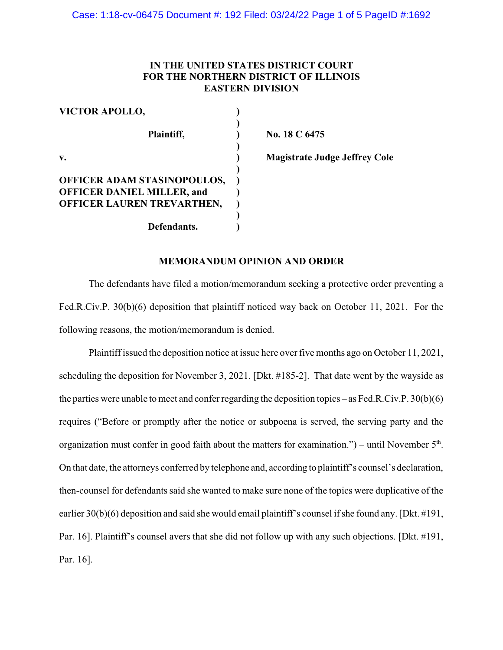# **IN THE UNITED STATES DISTRICT COURT FOR THE NORTHERN DISTRICT OF ILLINOIS EASTERN DIVISION**

| <b>VICTOR APOLLO,</b>             |     |
|-----------------------------------|-----|
| Plaintiff,                        | No. |
| $\mathbf{v}$ .                    |     |
| OFFICER ADAM STASINOPOULOS,       |     |
| <b>OFFICER DANIEL MILLER, and</b> |     |
| OFFICER LAUREN TREVARTHEN,        |     |
|                                   |     |
| Defendants.                       |     |

**18 C 6475** 

**v. ) Magistrate Judge Jeffrey Cole**

# **MEMORANDUM OPINION AND ORDER**

The defendants have filed a motion/memorandum seeking a protective order preventing a Fed.R.Civ.P. 30(b)(6) deposition that plaintiff noticed way back on October 11, 2021. For the following reasons, the motion/memorandum is denied.

Plaintiff issued the deposition notice at issue here over five months ago on October 11, 2021, scheduling the deposition for November 3, 2021. [Dkt. #185-2]. That date went by the wayside as the parties were unable to meet and confer regarding the deposition topics – as Fed.R.Civ.P. 30(b)(6) requires ("Before or promptly after the notice or subpoena is served, the serving party and the organization must confer in good faith about the matters for examination.") – until November  $5<sup>th</sup>$ . On that date, the attorneys conferred by telephone and, according to plaintiff's counsel's declaration, then-counsel for defendants said she wanted to make sure none of the topics were duplicative of the earlier 30(b)(6) deposition and said she would email plaintiff's counsel if she found any. [Dkt. #191, Par. 16]. Plaintiff's counsel avers that she did not follow up with any such objections. [Dkt. #191, Par. 16].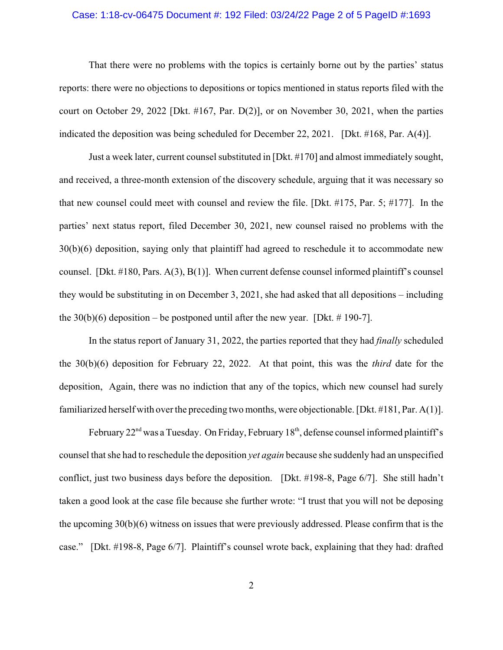## Case: 1:18-cv-06475 Document #: 192 Filed: 03/24/22 Page 2 of 5 PageID #:1693

That there were no problems with the topics is certainly borne out by the parties' status reports: there were no objections to depositions or topics mentioned in status reports filed with the court on October 29, 2022 [Dkt. #167, Par. D(2)], or on November 30, 2021, when the parties indicated the deposition was being scheduled for December 22, 2021. [Dkt. #168, Par. A(4)].

Just a week later, current counsel substituted in [Dkt. #170] and almost immediately sought, and received, a three-month extension of the discovery schedule, arguing that it was necessary so that new counsel could meet with counsel and review the file. [Dkt. #175, Par. 5; #177]. In the parties' next status report, filed December 30, 2021, new counsel raised no problems with the 30(b)(6) deposition, saying only that plaintiff had agreed to reschedule it to accommodate new counsel. [Dkt. #180, Pars. A(3), B(1)]. When current defense counsel informed plaintiff's counsel they would be substituting in on December 3, 2021, she had asked that all depositions – including the  $30(b)(6)$  deposition – be postponed until after the new year. [Dkt. # 190-7].

In the status report of January 31, 2022, the parties reported that they had *finally* scheduled the 30(b)(6) deposition for February 22, 2022. At that point, this was the *third* date for the deposition, Again, there was no indiction that any of the topics, which new counsel had surely familiarized herself with over the preceding two months, were objectionable. [Dkt. #181, Par. A(1)].

February  $22<sup>nd</sup>$  was a Tuesday. On Friday, February 18<sup>th</sup>, defense counsel informed plaintiff's counsel that she had to reschedule the deposition *yet again* because she suddenly had an unspecified conflict, just two business days before the deposition. [Dkt. #198-8, Page 6/7]. She still hadn't taken a good look at the case file because she further wrote: "I trust that you will not be deposing the upcoming 30(b)(6) witness on issues that were previously addressed. Please confirm that is the case." [Dkt. #198-8, Page 6/7]. Plaintiff's counsel wrote back, explaining that they had: drafted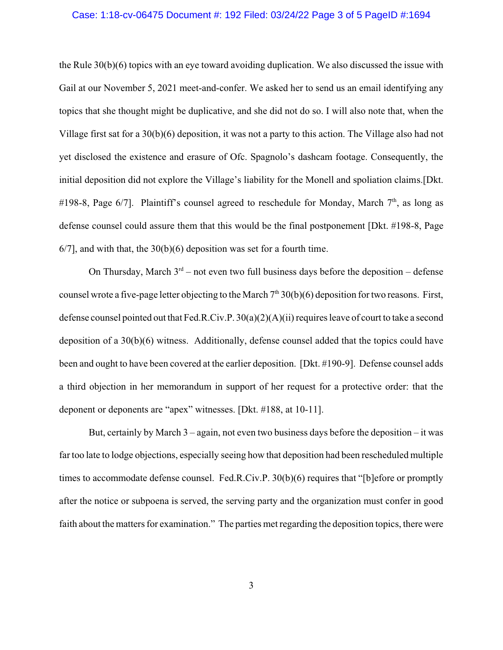## Case: 1:18-cv-06475 Document #: 192 Filed: 03/24/22 Page 3 of 5 PageID #:1694

the Rule 30(b)(6) topics with an eye toward avoiding duplication. We also discussed the issue with Gail at our November 5, 2021 meet-and-confer. We asked her to send us an email identifying any topics that she thought might be duplicative, and she did not do so. I will also note that, when the Village first sat for a 30(b)(6) deposition, it was not a party to this action. The Village also had not yet disclosed the existence and erasure of Ofc. Spagnolo's dashcam footage. Consequently, the initial deposition did not explore the Village's liability for the Monell and spoliation claims.[Dkt. #198-8, Page 6/7]. Plaintiff's counsel agreed to reschedule for Monday, March 7<sup>th</sup>, as long as defense counsel could assure them that this would be the final postponement [Dkt. #198-8, Page 6/7], and with that, the 30(b)(6) deposition was set for a fourth time.

On Thursday, March  $3<sup>rd</sup>$  – not even two full business days before the deposition – defense counsel wrote a five-page letter objecting to the March  $7<sup>th</sup> 30(b)(6)$  deposition for two reasons. First, defense counsel pointed out that Fed.R.Civ.P. 30(a)(2)(A)(ii) requires leave of court to take a second deposition of a 30(b)(6) witness. Additionally, defense counsel added that the topics could have been and ought to have been covered at the earlier deposition. [Dkt. #190-9]. Defense counsel adds a third objection in her memorandum in support of her request for a protective order: that the deponent or deponents are "apex" witnesses. [Dkt. #188, at 10-11].

But, certainly by March 3 – again, not even two business days before the deposition – it was far too late to lodge objections, especially seeing how that deposition had been rescheduled multiple times to accommodate defense counsel. Fed.R.Civ.P. 30(b)(6) requires that "[b]efore or promptly after the notice or subpoena is served, the serving party and the organization must confer in good faith about the matters for examination." The parties met regarding the deposition topics, there were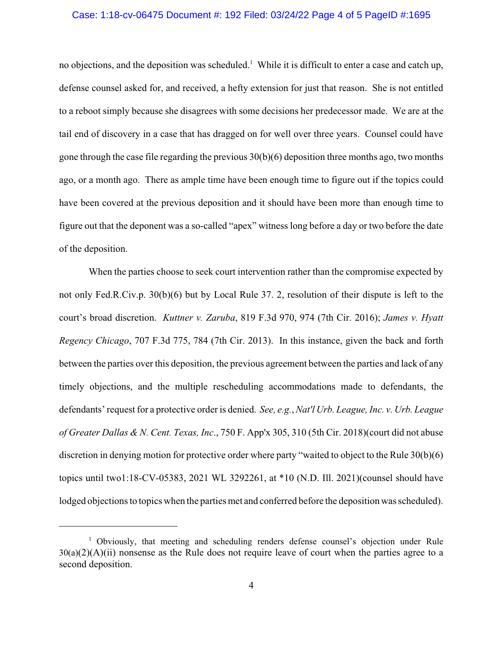## Case: 1:18-cv-06475 Document #: 192 Filed: 03/24/22 Page 4 of 5 PageID #:1695

no objections, and the deposition was scheduled.<sup>1</sup> While it is difficult to enter a case and catch up, defense counsel asked for, and received, a hefty extension for just that reason. She is not entitled to a reboot simply because she disagrees with some decisions her predecessor made. We are at the tail end of discovery in a case that has dragged on for well over three years. Counsel could have gone through the case file regarding the previous 30(b)(6) deposition three months ago, two months ago, or a month ago. There as ample time have been enough time to figure out if the topics could have been covered at the previous deposition and it should have been more than enough time to figure out that the deponent was a so-called "apex" witness long before a day or two before the date of the deposition.

When the parties choose to seek court intervention rather than the compromise expected by not only Fed.R.Civ.p. 30(b)(6) but by Local Rule 37. 2, resolution of their dispute is left to the court's broad discretion. *Kuttner v. Zaruba*, 819 F.3d 970, 974 (7th Cir. 2016); *James v. Hyatt Regency Chicago*, 707 F.3d 775, 784 (7th Cir. 2013). In this instance, given the back and forth between the parties over this deposition, the previous agreement between the parties and lack of any timely objections, and the multiple rescheduling accommodations made to defendants, the defendants' request for a protective order is denied. *See, e.g.*, *Nat'l Urb. League, Inc. v. Urb. League of Greater Dallas & N. Cent. Texas, Inc*., 750 F. App'x 305, 310 (5th Cir. 2018)(court did not abuse discretion in denying motion for protective order where party "waited to object to the Rule 30(b)(6) topics until two1:18-CV-05383, 2021 WL 3292261, at \*10 (N.D. Ill. 2021)(counsel should have lodged objections to topics when the parties met and conferred before the deposition was scheduled).

<sup>&</sup>lt;sup>1</sup> Obviously, that meeting and scheduling renders defense counsel's objection under Rule  $30(a)(2)(A)(ii)$  nonsense as the Rule does not require leave of court when the parties agree to a second deposition.